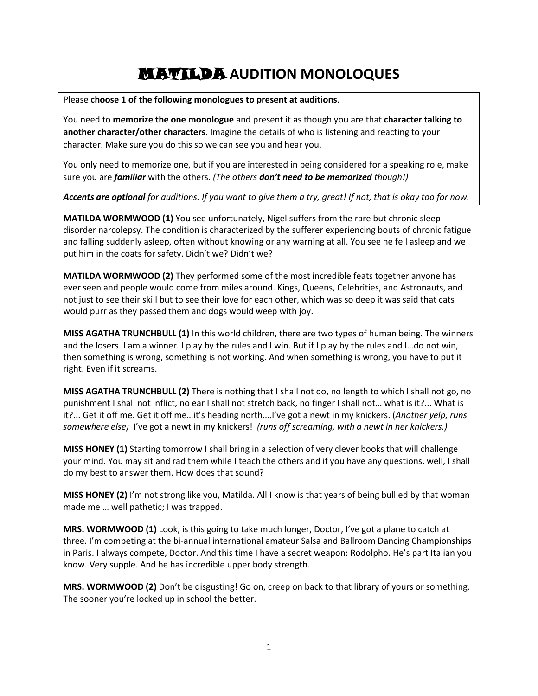## MATILDA **AUDITION MONOLOQUES**

Please **choose 1 of the following monologues to present at auditions**.

You need to **memorize the one monologue** and present it as though you are that **character talking to another character/other characters.** Imagine the details of who is listening and reacting to your character. Make sure you do this so we can see you and hear you.

You only need to memorize one, but if you are interested in being considered for a speaking role, make sure you are *familiar* with the others. *(The others don't need to be memorized though!)*

## *Accents are optional for auditions. If you want to give them a try, great! If not, that is okay too for now.*

**MATILDA WORMWOOD (1)** You see unfortunately, Nigel suffers from the rare but chronic sleep disorder narcolepsy. The condition is characterized by the sufferer experiencing bouts of chronic fatigue and falling suddenly asleep, often without knowing or any warning at all. You see he fell asleep and we put him in the coats for safety. Didn't we? Didn't we?

**MATILDA WORMWOOD (2)** They performed some of the most incredible feats together anyone has ever seen and people would come from miles around. Kings, Queens, Celebrities, and Astronauts, and not just to see their skill but to see their love for each other, which was so deep it was said that cats would purr as they passed them and dogs would weep with joy.

**MISS AGATHA TRUNCHBULL (1)** In this world children, there are two types of human being. The winners and the losers. I am a winner. I play by the rules and I win. But if I play by the rules and I…do not win, then something is wrong, something is not working. And when something is wrong, you have to put it right. Even if it screams.

**MISS AGATHA TRUNCHBULL (2)** There is nothing that I shall not do, no length to which I shall not go, no punishment I shall not inflict, no ear I shall not stretch back, no finger I shall not… what is it?... What is it?... Get it off me. Get it off me…it's heading north….I've got a newt in my knickers. (*Another yelp, runs somewhere else)* I've got a newt in my knickers! *(runs off screaming, with a newt in her knickers.)*

**MISS HONEY (1)** Starting tomorrow I shall bring in a selection of very clever books that will challenge your mind. You may sit and rad them while I teach the others and if you have any questions, well, I shall do my best to answer them. How does that sound?

**MISS HONEY (2)** I'm not strong like you, Matilda. All I know is that years of being bullied by that woman made me … well pathetic; I was trapped.

**MRS. WORMWOOD (1)** Look, is this going to take much longer, Doctor, I've got a plane to catch at three. I'm competing at the bi-annual international amateur Salsa and Ballroom Dancing Championships in Paris. I always compete, Doctor. And this time I have a secret weapon: Rodolpho. He's part Italian you know. Very supple. And he has incredible upper body strength.

**MRS. WORMWOOD (2)** Don't be disgusting! Go on, creep on back to that library of yours or something. The sooner you're locked up in school the better.